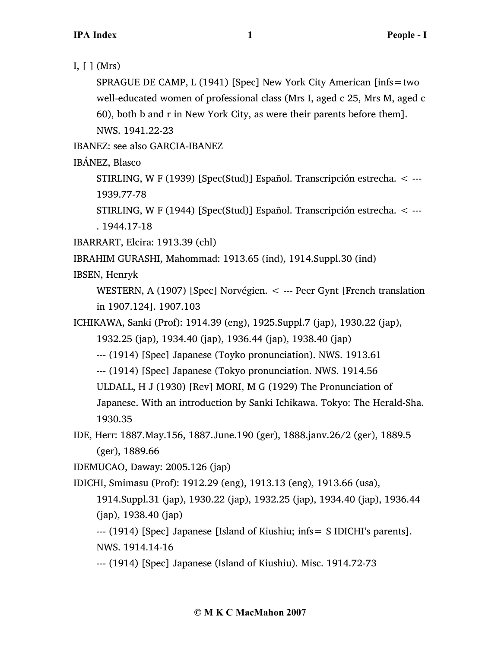I,  $\lceil \cdot \rceil$  (Mrs)

SPRAGUE DE CAMP, L (1941) [Spec] New York City American [infs=two well-educated women of professional class (Mrs I, aged c 25, Mrs M, aged c 60), both b and r in New York City, as were their parents before them]. NWS. 1941.22-23

IBANEZ: see also GARCIA-IBANEZ

IBÁNEZ, Blasco

STIRLING, W F (1939) [Spec(Stud)] Español. Transcripción estrecha. < --- 1939.77-78

STIRLING, W F (1944) [Spec(Stud)] Español. Transcripción estrecha. < --- . 1944.17-18

IBARRART, Elcira: 1913.39 (chl)

IBRAHIM GURASHI, Mahommad: 1913.65 (ind), 1914.Suppl.30 (ind)

IBSEN, Henryk

WESTERN, A (1907) [Spec] Norvégien. < --- Peer Gynt [French translation in 1907.124]. 1907.103

ICHIKAWA, Sanki (Prof): 1914.39 (eng), 1925.Suppl.7 (jap), 1930.22 (jap),

1932.25 (jap), 1934.40 (jap), 1936.44 (jap), 1938.40 (jap)

--- (1914) [Spec] Japanese (Toyko pronunciation). NWS. 1913.61

--- (1914) [Spec] Japanese (Tokyo pronunciation. NWS. 1914.56

ULDALL, H J (1930) [Rev] MORI, M G (1929) The Pronunciation of

Japanese. With an introduction by Sanki Ichikawa. Tokyo: The Herald-Sha. 1930.35

IDE, Herr: 1887.May.156, 1887.June.190 (ger), 1888.janv.26/2 (ger), 1889.5 (ger), 1889.66

IDEMUCAO, Daway: 2005.126 (jap)

IDICHI, Smimasu (Prof): 1912.29 (eng), 1913.13 (eng), 1913.66 (usa),

1914.Suppl.31 (jap), 1930.22 (jap), 1932.25 (jap), 1934.40 (jap), 1936.44 (jap), 1938.40 (jap)

--- (1914) [Spec] Japanese [Island of Kiushiu; infs= S IDICHI's parents]. NWS. 1914.14-16

--- (1914) [Spec] Japanese (Island of Kiushiu). Misc. 1914.72-73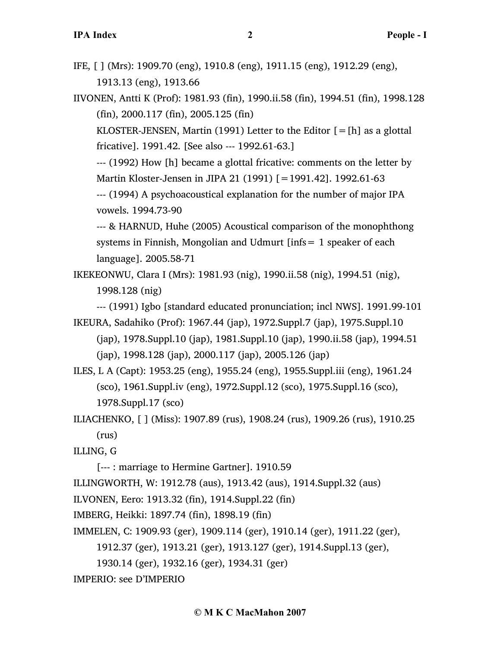IFE, [ ] (Mrs): 1909.70 (eng), 1910.8 (eng), 1911.15 (eng), 1912.29 (eng), 1913.13 (eng), 1913.66

IIVONEN, Antti K (Prof): 1981.93 (fin), 1990.ii.58 (fin), 1994.51 (fin), 1998.128 (fin), 2000.117 (fin), 2005.125 (fin)

KLOSTER-JENSEN, Martin (1991) Letter to the Editor  $[=$  [h] as a glottal fricative]. 1991.42. [See also --- 1992.61-63.]

--- (1992) How [h] became a glottal fricative: comments on the letter by Martin Kloster-Jensen in JIPA 21 (1991) [=1991.42]. 1992.61-63

--- (1994) A psychoacoustical explanation for the number of major IPA vowels. 1994.73-90

--- & HARNUD, Huhe (2005) Acoustical comparison of the monophthong systems in Finnish, Mongolian and Udmurt [infs= 1 speaker of each language]. 2005.58-71

IKEKEONWU, Clara I (Mrs): 1981.93 (nig), 1990.ii.58 (nig), 1994.51 (nig), 1998.128 (nig)

--- (1991) Igbo [standard educated pronunciation; incl NWS]. 1991.99-101

IKEURA, Sadahiko (Prof): 1967.44 (jap), 1972.Suppl.7 (jap), 1975.Suppl.10 (jap), 1978.Suppl.10 (jap), 1981.Suppl.10 (jap), 1990.ii.58 (jap), 1994.51 (jap), 1998.128 (jap), 2000.117 (jap), 2005.126 (jap)

ILES, L A (Capt): 1953.25 (eng), 1955.24 (eng), 1955.Suppl.iii (eng), 1961.24 (sco), 1961.Suppl.iv (eng), 1972.Suppl.12 (sco), 1975.Suppl.16 (sco), 1978.Suppl.17 (sco)

ILIACHENKO, [ ] (Miss): 1907.89 (rus), 1908.24 (rus), 1909.26 (rus), 1910.25 (rus)

ILLING, G

[--- : marriage to Hermine Gartner]. 1910.59

ILLINGWORTH, W: 1912.78 (aus), 1913.42 (aus), 1914.Suppl.32 (aus)

ILVONEN, Eero: 1913.32 (fin), 1914.Suppl.22 (fin)

IMBERG, Heikki: 1897.74 (fin), 1898.19 (fin)

IMMELEN, C: 1909.93 (ger), 1909.114 (ger), 1910.14 (ger), 1911.22 (ger),

1912.37 (ger), 1913.21 (ger), 1913.127 (ger), 1914.Suppl.13 (ger),

1930.14 (ger), 1932.16 (ger), 1934.31 (ger)

IMPERIO: see D'IMPERIO

## **© M K C MacMahon 2007**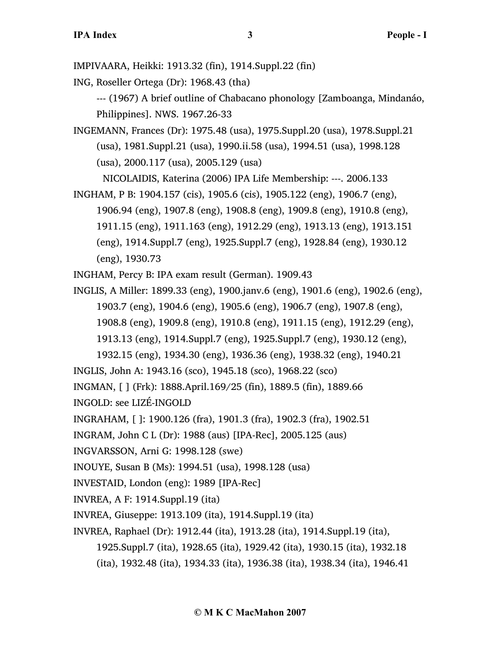IMPIVAARA, Heikki: 1913.32 (fin), 1914.Suppl.22 (fin)

ING, Roseller Ortega (Dr): 1968.43 (tha)

--- (1967) A brief outline of Chabacano phonology [Zamboanga, Mindanáo, Philippines]. NWS. 1967.26-33

INGEMANN, Frances (Dr): 1975.48 (usa), 1975.Suppl.20 (usa), 1978.Suppl.21 (usa), 1981.Suppl.21 (usa), 1990.ii.58 (usa), 1994.51 (usa), 1998.128 (usa), 2000.117 (usa), 2005.129 (usa)

NICOLAIDIS, Katerina (2006) IPA Life Membership: ---. 2006.133

INGHAM, P B: 1904.157 (cis), 1905.6 (cis), 1905.122 (eng), 1906.7 (eng), 1906.94 (eng), 1907.8 (eng), 1908.8 (eng), 1909.8 (eng), 1910.8 (eng), 1911.15 (eng), 1911.163 (eng), 1912.29 (eng), 1913.13 (eng), 1913.151 (eng), 1914.Suppl.7 (eng), 1925.Suppl.7 (eng), 1928.84 (eng), 1930.12 (eng), 1930.73

INGHAM, Percy B: IPA exam result (German). 1909.43

- INGLIS, A Miller: 1899.33 (eng), 1900.janv.6 (eng), 1901.6 (eng), 1902.6 (eng), 1903.7 (eng), 1904.6 (eng), 1905.6 (eng), 1906.7 (eng), 1907.8 (eng), 1908.8 (eng), 1909.8 (eng), 1910.8 (eng), 1911.15 (eng), 1912.29 (eng), 1913.13 (eng), 1914.Suppl.7 (eng), 1925.Suppl.7 (eng), 1930.12 (eng),
- 1932.15 (eng), 1934.30 (eng), 1936.36 (eng), 1938.32 (eng), 1940.21 INGLIS, John A: 1943.16 (sco), 1945.18 (sco), 1968.22 (sco)

INGMAN, [ ] (Frk): 1888.April.169/25 (fin), 1889.5 (fin), 1889.66

INGOLD: see LIZÉ-INGOLD

INGRAHAM, [ ]: 1900.126 (fra), 1901.3 (fra), 1902.3 (fra), 1902.51

INGRAM, John C L (Dr): 1988 (aus) [IPA-Rec], 2005.125 (aus)

- INGVARSSON, Arni G: 1998.128 (swe)
- INOUYE, Susan B (Ms): 1994.51 (usa), 1998.128 (usa)
- INVESTAID, London (eng): 1989 [IPA-Rec]
- INVREA, A F: 1914.Suppl.19 (ita)
- INVREA, Giuseppe: 1913.109 (ita), 1914.Suppl.19 (ita)
- INVREA, Raphael (Dr): 1912.44 (ita), 1913.28 (ita), 1914.Suppl.19 (ita),
	- 1925.Suppl.7 (ita), 1928.65 (ita), 1929.42 (ita), 1930.15 (ita), 1932.18
	- (ita), 1932.48 (ita), 1934.33 (ita), 1936.38 (ita), 1938.34 (ita), 1946.41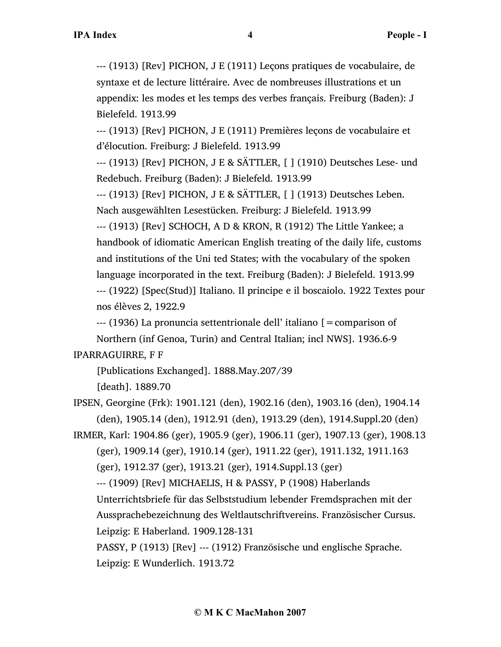--- (1913) [Rev] PICHON, J E (1911) Leçons pratiques de vocabulaire, de syntaxe et de lecture littéraire. Avec de nombreuses illustrations et un appendix: les modes et les temps des verbes français. Freiburg (Baden): J Bielefeld. 1913.99

--- (1913) [Rev] PICHON, J E (1911) Premières leçons de vocabulaire et d'élocution. Freiburg: J Bielefeld. 1913.99

--- (1913) [Rev] PICHON, J E & SÄTTLER, [ ] (1910) Deutsches Lese- und Redebuch. Freiburg (Baden): J Bielefeld. 1913.99

--- (1913) [Rev] PICHON, J E & SÄTTLER, [ ] (1913) Deutsches Leben. Nach ausgewählten Lesestücken. Freiburg: J Bielefeld. 1913.99

--- (1913) [Rev] SCHOCH, A D & KRON, R (1912) The Little Yankee; a handbook of idiomatic American English treating of the daily life, customs and institutions of the Uni ted States; with the vocabulary of the spoken language incorporated in the text. Freiburg (Baden): J Bielefeld. 1913.99 --- (1922) [Spec(Stud)] Italiano. Il principe e il boscaiolo. 1922 Textes pour nos élèves 2, 1922.9

--- (1936) La pronuncia settentrionale dell' italiano [=comparison of

Northern (inf Genoa, Turin) and Central Italian; incl NWS]. 1936.6-9 IPARRAGUIRRE, F F

[Publications Exchanged]. 1888.May.207/39

[death]. 1889.70

IPSEN, Georgine (Frk): 1901.121 (den), 1902.16 (den), 1903.16 (den), 1904.14 (den), 1905.14 (den), 1912.91 (den), 1913.29 (den), 1914.Suppl.20 (den)

IRMER, Karl: 1904.86 (ger), 1905.9 (ger), 1906.11 (ger), 1907.13 (ger), 1908.13 (ger), 1909.14 (ger), 1910.14 (ger), 1911.22 (ger), 1911.132, 1911.163 (ger), 1912.37 (ger), 1913.21 (ger), 1914.Suppl.13 (ger)

--- (1909) [Rev] MICHAELIS, H & PASSY, P (1908) Haberlands

Unterrichtsbriefe für das Selbststudium lebender Fremdsprachen mit der Aussprachebezeichnung des Weltlautschriftvereins. Französischer Cursus. Leipzig: E Haberland. 1909.128-131

PASSY, P (1913) [Rev] --- (1912) Französische und englische Sprache. Leipzig: E Wunderlich. 1913.72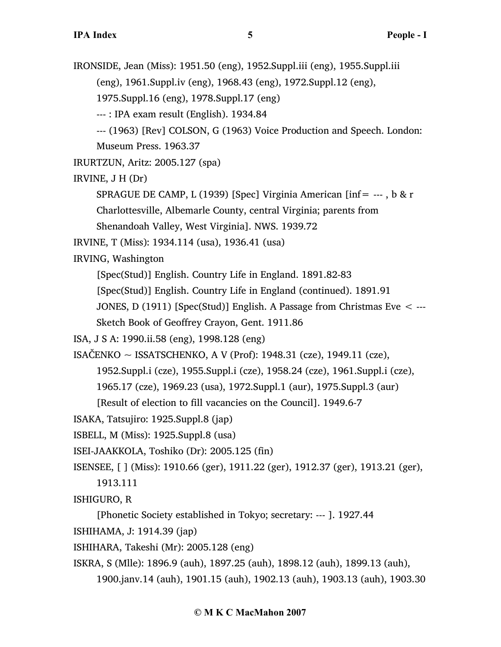IRONSIDE, Jean (Miss): 1951.50 (eng), 1952.Suppl.iii (eng), 1955.Suppl.iii (eng), 1961.Suppl.iv (eng), 1968.43 (eng), 1972.Suppl.12 (eng), 1975.Suppl.16 (eng), 1978.Suppl.17 (eng) --- : IPA exam result (English). 1934.84 --- (1963) [Rev] COLSON, G (1963) Voice Production and Speech. London: Museum Press. 1963.37 IRURTZUN, Aritz: 2005.127 (spa) IRVINE, J H (Dr) SPRAGUE DE CAMP, L (1939) [Spec] Virginia American [inf= ---, b & r Charlottesville, Albemarle County, central Virginia; parents from Shenandoah Valley, West Virginia]. NWS. 1939.72 IRVINE, T (Miss): 1934.114 (usa), 1936.41 (usa) IRVING, Washington [Spec(Stud)] English. Country Life in England. 1891.82-83 [Spec(Stud)] English. Country Life in England (continued). 1891.91 JONES, D (1911) [Spec(Stud)] English. A Passage from Christmas Eve  $\leq$  ---Sketch Book of Geoffrey Crayon, Gent. 1911.86 ISA, J S A: 1990.ii.58 (eng), 1998.128 (eng) ISAČENKO ~ ISSATSCHENKO, A V (Prof): 1948.31 (cze), 1949.11 (cze), 1952.Suppl.i (cze), 1955.Suppl.i (cze), 1958.24 (cze), 1961.Suppl.i (cze), 1965.17 (cze), 1969.23 (usa), 1972.Suppl.1 (aur), 1975.Suppl.3 (aur) [Result of election to fill vacancies on the Council]. 1949.6-7 ISAKA, Tatsujiro: 1925.Suppl.8 (jap) ISBELL, M (Miss): 1925.Suppl.8 (usa) ISEI-JAAKKOLA, Toshiko (Dr): 2005.125 (fin) ISENSEE, [ ] (Miss): 1910.66 (ger), 1911.22 (ger), 1912.37 (ger), 1913.21 (ger), 1913.111 ISHIGURO, R [Phonetic Society established in Tokyo; secretary: --- ]. 1927.44 ISHIHAMA, J: 1914.39 (jap) ISHIHARA, Takeshi (Mr): 2005.128 (eng)

ISKRA, S (Mlle): 1896.9 (auh), 1897.25 (auh), 1898.12 (auh), 1899.13 (auh),

1900.janv.14 (auh), 1901.15 (auh), 1902.13 (auh), 1903.13 (auh), 1903.30

## **© M K C MacMahon 2007**